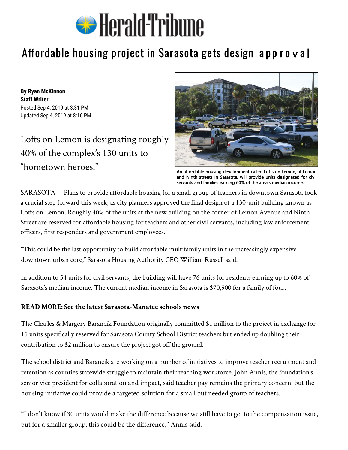

## Affordable housing [project in Sarasota gets des](https://www.heraldtribune.com/)ign approval

**By [Ryan McKinnon](mailto:ryan.mckinnon@heraldtribune.com) Staff Writer**  Posted Sep 4, 2019 at 3:31 PM Updated Sep 4, 2019 at 8:16 PM

Lofts on Lemon is designating roughly 40% of the complex's 130 units to "hometown heroes."



An affordable housing development called Lofts on Lemon, at Lemon and Ninth streets in Sarasota, will provide units designated for civil servants and families earning 60% of the area's median income.

SARASOTA — Plans to provide affordable housing for a small group of teachers in downtown Sarasota took a crucial step forward this week, as city planners approved the final design of a 130-unit building known as [Lofts on Lemon.](https://www.heraldtribune.com/news/20190109/lofts-on-lemon-affordable-and-workforce-housing-project-progressing) Roughly 40% of the units at the new building on the corner of Lemon Avenue and Ninth Street are reserved for affordable housing for teachers and other civil servants, including law enforcement officers, first responders and government employees.

"This could be the last opportunity to build affordable multifamily units in the increasingly expensive downtown urban core," Sarasota Housing Authority CEO William Russell said.

In addition to 54 units for civil servants, the building will have 76 units for residents earning up to 60% of Sarasota's median income. The current median income in Sarasota is \$70,900 for a family of four.

## **READ MORE: [See the latest Sarasota-Manatee schools news](https://www.heraldtribune.com/news/education)**

The Charles & Margery Barancik Foundation originally committed \$1 million to the project in exchange for 15 units specifically reserved for Sarasota County School District teachers but ended up doubling their contribution to \$2 million to ensure the project got off the ground.

The school district and Barancik are working on a number of initiatives to improve teacher recruitment and retention as counties statewide struggle to maintain their teaching workforce. John Annis, the foundation's senior vice president for collaboration and impact, said teacher pay remains the primary concern, but the housing init[iative could provide a targeted solution for a small but needed group of teachers.](https://www.heraldtribune.com/news/20180218/teacher-shortage-defies-easy-solution)

"I don't know if 30 units would make the difference because we still have to get to the compensation issue, but for a smaller group, this could be the difference," Annis said.